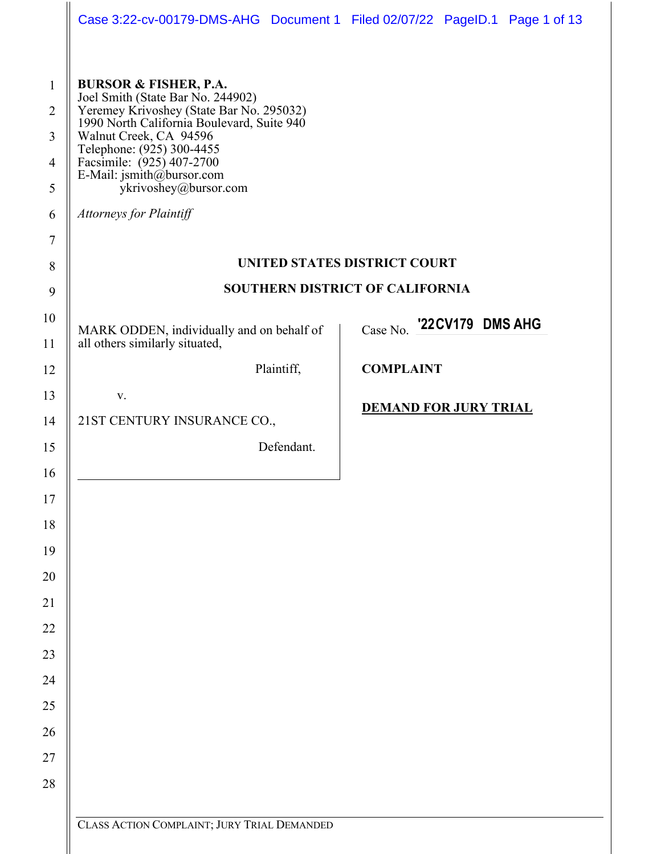| Case 3:22-cv-00179-DMS-AHG  Document 1  Filed 02/07/22  PageID.1  Page 1 of 13                                                                                                                                                                                                                                                           |                                        |  |
|------------------------------------------------------------------------------------------------------------------------------------------------------------------------------------------------------------------------------------------------------------------------------------------------------------------------------------------|----------------------------------------|--|
| <b>BURSOR &amp; FISHER, P.A.</b><br>Joel Smith (State Bar No. 244902)<br>Yeremey Krivoshey (State Bar No. 295032)<br>1990 North California Boulevard, Suite 940<br>Walnut Creek, CA 94596<br>Telephone: $(925)$ 300-4455<br>Facsimile: $(925)$ 407-2700<br>E-Mail: jsmith@bursor.com<br>ykrivoshey@bursor.com<br>Attorneys for Plaintiff |                                        |  |
|                                                                                                                                                                                                                                                                                                                                          | <b>UNITED STATES DISTRICT COURT</b>    |  |
|                                                                                                                                                                                                                                                                                                                                          | <b>SOUTHERN DISTRICT OF CALIFORNIA</b> |  |
| MARK ODDEN, individually and on behalf of<br>all others similarly situated,                                                                                                                                                                                                                                                              | Case No. '22CV179 DMS AHG              |  |
| Plaintiff,                                                                                                                                                                                                                                                                                                                               | <b>COMPLAINT</b>                       |  |
| V.                                                                                                                                                                                                                                                                                                                                       | <b>DEMAND FOR JURY TRIAL</b>           |  |
| 21ST CENTURY INSURANCE CO.,                                                                                                                                                                                                                                                                                                              |                                        |  |
| Defendant.                                                                                                                                                                                                                                                                                                                               |                                        |  |
|                                                                                                                                                                                                                                                                                                                                          |                                        |  |
|                                                                                                                                                                                                                                                                                                                                          |                                        |  |
|                                                                                                                                                                                                                                                                                                                                          |                                        |  |
|                                                                                                                                                                                                                                                                                                                                          |                                        |  |
|                                                                                                                                                                                                                                                                                                                                          |                                        |  |
|                                                                                                                                                                                                                                                                                                                                          |                                        |  |
|                                                                                                                                                                                                                                                                                                                                          |                                        |  |
|                                                                                                                                                                                                                                                                                                                                          |                                        |  |
|                                                                                                                                                                                                                                                                                                                                          |                                        |  |
|                                                                                                                                                                                                                                                                                                                                          |                                        |  |
|                                                                                                                                                                                                                                                                                                                                          |                                        |  |
|                                                                                                                                                                                                                                                                                                                                          |                                        |  |
|                                                                                                                                                                                                                                                                                                                                          |                                        |  |
| CLASS ACTION COMPLAINT; JURY TRIAL DEMANDED                                                                                                                                                                                                                                                                                              |                                        |  |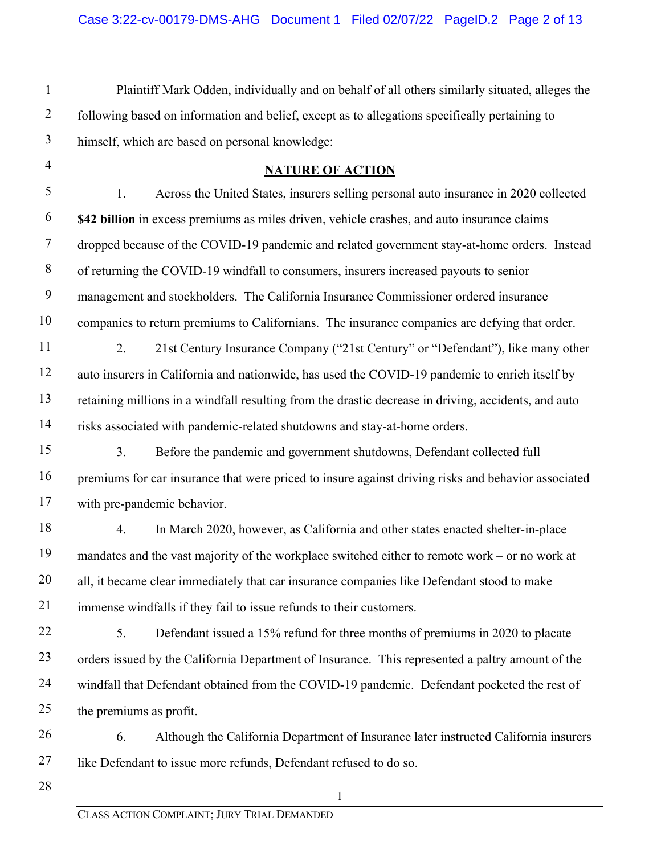Plaintiff Mark Odden, individually and on behalf of all others similarly situated, alleges the following based on information and belief, except as to allegations specifically pertaining to himself, which are based on personal knowledge:

#### **NATURE OF ACTION**

1. Across the United States, insurers selling personal auto insurance in 2020 collected **\$42 billion** in excess premiums as miles driven, vehicle crashes, and auto insurance claims dropped because of the COVID-19 pandemic and related government stay-at-home orders. Instead of returning the COVID-19 windfall to consumers, insurers increased payouts to senior management and stockholders. The California Insurance Commissioner ordered insurance companies to return premiums to Californians. The insurance companies are defying that order.

2. 21st Century Insurance Company ("21st Century" or "Defendant"), like many other auto insurers in California and nationwide, has used the COVID-19 pandemic to enrich itself by retaining millions in a windfall resulting from the drastic decrease in driving, accidents, and auto risks associated with pandemic-related shutdowns and stay-at-home orders.

3. Before the pandemic and government shutdowns, Defendant collected full premiums for car insurance that were priced to insure against driving risks and behavior associated with pre-pandemic behavior.

4. In March 2020, however, as California and other states enacted shelter-in-place mandates and the vast majority of the workplace switched either to remote work – or no work at all, it became clear immediately that car insurance companies like Defendant stood to make immense windfalls if they fail to issue refunds to their customers.

5. Defendant issued a 15% refund for three months of premiums in 2020 to placate orders issued by the California Department of Insurance. This represented a paltry amount of the windfall that Defendant obtained from the COVID-19 pandemic. Defendant pocketed the rest of the premiums as profit.

6. Although the California Department of Insurance later instructed California insurers like Defendant to issue more refunds, Defendant refused to do so.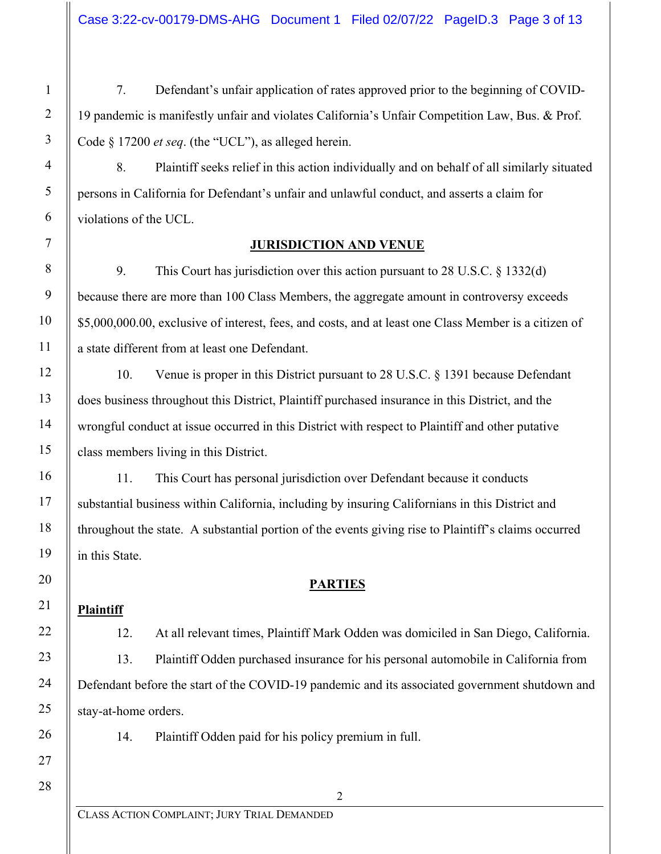7. Defendant's unfair application of rates approved prior to the beginning of COVID-19 pandemic is manifestly unfair and violates California's Unfair Competition Law, Bus. & Prof. Code § 17200 *et seq*. (the "UCL"), as alleged herein.

8. Plaintiff seeks relief in this action individually and on behalf of all similarly situated persons in California for Defendant's unfair and unlawful conduct, and asserts a claim for violations of the UCL.

#### **JURISDICTION AND VENUE**

9. This Court has jurisdiction over this action pursuant to 28 U.S.C. § 1332(d) because there are more than 100 Class Members, the aggregate amount in controversy exceeds \$5,000,000.00, exclusive of interest, fees, and costs, and at least one Class Member is a citizen of a state different from at least one Defendant.

10. Venue is proper in this District pursuant to 28 U.S.C. § 1391 because Defendant does business throughout this District, Plaintiff purchased insurance in this District, and the wrongful conduct at issue occurred in this District with respect to Plaintiff and other putative class members living in this District.

11. This Court has personal jurisdiction over Defendant because it conducts substantial business within California, including by insuring Californians in this District and throughout the state. A substantial portion of the events giving rise to Plaintiff's claims occurred in this State.

#### **PARTIES**

#### **Plaintiff**

12. At all relevant times, Plaintiff Mark Odden was domiciled in San Diego, California. 13. Plaintiff Odden purchased insurance for his personal automobile in California from Defendant before the start of the COVID-19 pandemic and its associated government shutdown and stay-at-home orders.

2

14. Plaintiff Odden paid for his policy premium in full.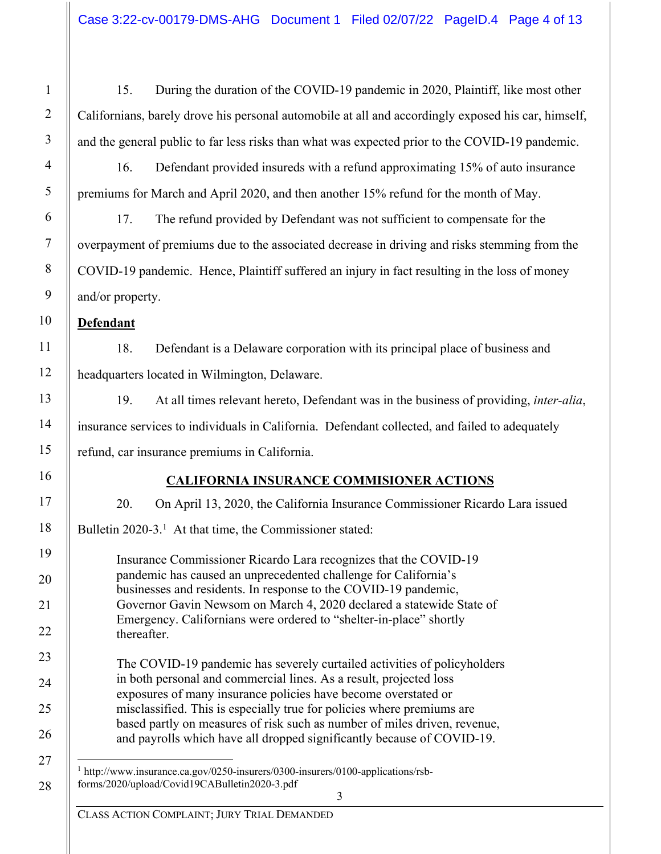15. During the duration of the COVID-19 pandemic in 2020, Plaintiff, like most other Californians, barely drove his personal automobile at all and accordingly exposed his car, himself, and the general public to far less risks than what was expected prior to the COVID-19 pandemic.

16. Defendant provided insureds with a refund approximating 15% of auto insurance premiums for March and April 2020, and then another 15% refund for the month of May.

17. The refund provided by Defendant was not sufficient to compensate for the overpayment of premiums due to the associated decrease in driving and risks stemming from the COVID-19 pandemic. Hence, Plaintiff suffered an injury in fact resulting in the loss of money and/or property.

**Defendant** 

18. Defendant is a Delaware corporation with its principal place of business and headquarters located in Wilmington, Delaware.

19. At all times relevant hereto, Defendant was in the business of providing, *inter-alia*, insurance services to individuals in California. Defendant collected, and failed to adequately refund, car insurance premiums in California.

### **CALIFORNIA INSURANCE COMMISIONER ACTIONS**

20. On April 13, 2020, the California Insurance Commissioner Ricardo Lara issued

Bulletin 2020-3.<sup>1</sup> At that time, the Commissioner stated:

Insurance Commissioner Ricardo Lara recognizes that the COVID-19 pandemic has caused an unprecedented challenge for California's businesses and residents. In response to the COVID-19 pandemic, Governor Gavin Newsom on March 4, 2020 declared a statewide State of Emergency. Californians were ordered to "shelter-in-place" shortly thereafter.

The COVID-19 pandemic has severely curtailed activities of policyholders in both personal and commercial lines. As a result, projected loss exposures of many insurance policies have become overstated or misclassified. This is especially true for policies where premiums are based partly on measures of risk such as number of miles driven, revenue, and payrolls which have all dropped significantly because of COVID-19.

<sup>1</sup> http://www.insurance.ca.gov/0250-insurers/0300-insurers/0100-applications/rsbforms/2020/upload/Covid19CABulletin2020-3.pdf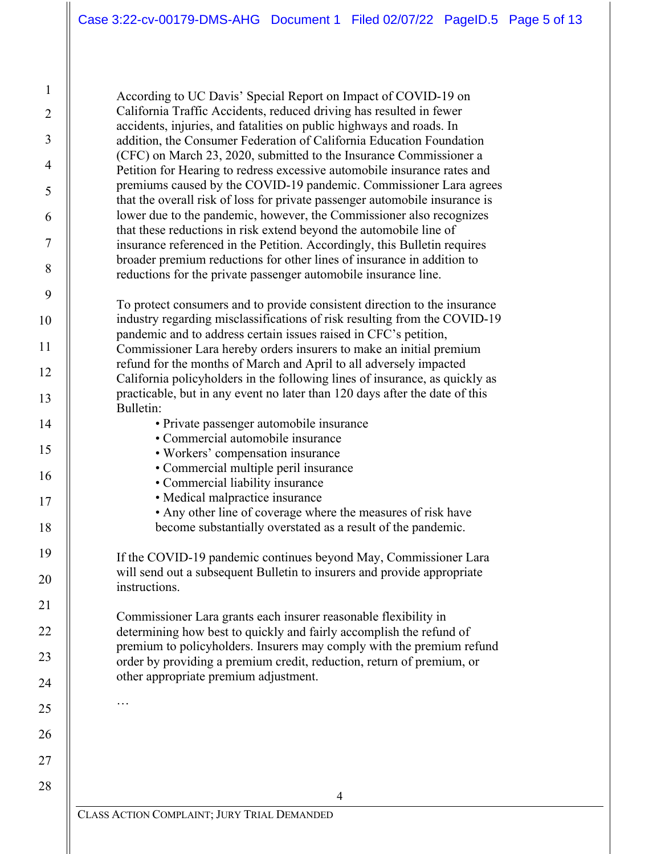According to UC Davis' Special Report on Impact of COVID-19 on California Traffic Accidents, reduced driving has resulted in fewer accidents, injuries, and fatalities on public highways and roads. In addition, the Consumer Federation of California Education Foundation (CFC) on March 23, 2020, submitted to the Insurance Commissioner a Petition for Hearing to redress excessive automobile insurance rates and premiums caused by the COVID-19 pandemic. Commissioner Lara agrees that the overall risk of loss for private passenger automobile insurance is lower due to the pandemic, however, the Commissioner also recognizes that these reductions in risk extend beyond the automobile line of insurance referenced in the Petition. Accordingly, this Bulletin requires broader premium reductions for other lines of insurance in addition to reductions for the private passenger automobile insurance line.

To protect consumers and to provide consistent direction to the insurance industry regarding misclassifications of risk resulting from the COVID-19 pandemic and to address certain issues raised in CFC's petition, Commissioner Lara hereby orders insurers to make an initial premium refund for the months of March and April to all adversely impacted California policyholders in the following lines of insurance, as quickly as practicable, but in any event no later than 120 days after the date of this Bulletin:

- Private passenger automobile insurance
- Commercial automobile insurance

1

2

3

4

5

6

7

8

9

10

11

12

13

14

15

16

17

18

19

20

21

22

23

24

25

…

26

27

28

- Workers' compensation insurance
- Commercial multiple peril insurance
- Commercial liability insurance
- Medical malpractice insurance
- Any other line of coverage where the measures of risk have become substantially overstated as a result of the pandemic.

If the COVID-19 pandemic continues beyond May, Commissioner Lara will send out a subsequent Bulletin to insurers and provide appropriate instructions.

Commissioner Lara grants each insurer reasonable flexibility in determining how best to quickly and fairly accomplish the refund of premium to policyholders. Insurers may comply with the premium refund order by providing a premium credit, reduction, return of premium, or other appropriate premium adjustment.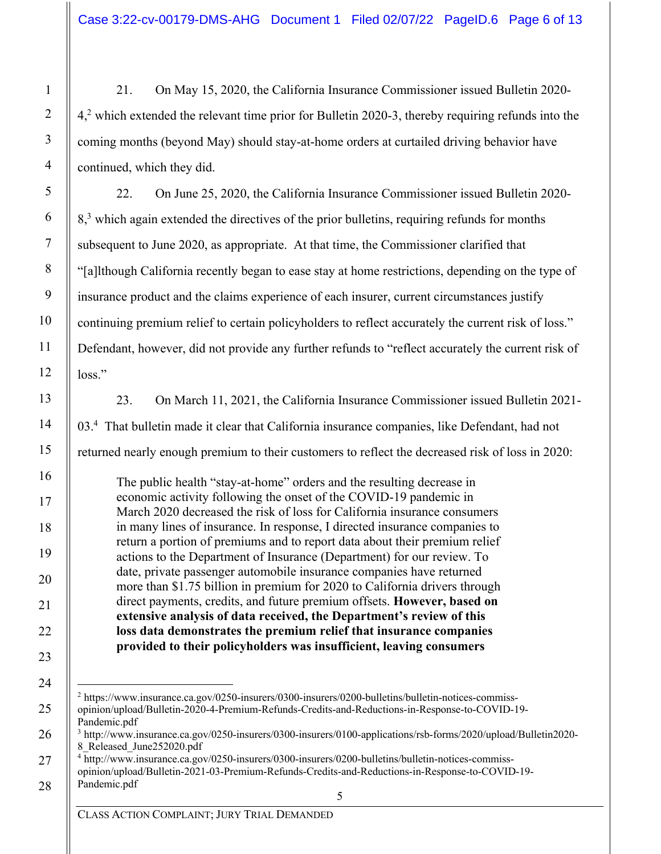21. On May 15, 2020, the California Insurance Commissioner issued Bulletin 2020- 4,<sup>2</sup> which extended the relevant time prior for Bulletin 2020-3, thereby requiring refunds into the coming months (beyond May) should stay-at-home orders at curtailed driving behavior have continued, which they did.

22. On June 25, 2020, the California Insurance Commissioner issued Bulletin 2020- 8,<sup>3</sup> which again extended the directives of the prior bulletins, requiring refunds for months subsequent to June 2020, as appropriate. At that time, the Commissioner clarified that "[a]lthough California recently began to ease stay at home restrictions, depending on the type of insurance product and the claims experience of each insurer, current circumstances justify continuing premium relief to certain policyholders to reflect accurately the current risk of loss." Defendant, however, did not provide any further refunds to "reflect accurately the current risk of loss."

23. On March 11, 2021, the California Insurance Commissioner issued Bulletin 2021- 03.<sup>4</sup> That bulletin made it clear that California insurance companies, like Defendant, had not returned nearly enough premium to their customers to reflect the decreased risk of loss in 2020:

The public health "stay-at-home" orders and the resulting decrease in economic activity following the onset of the COVID-19 pandemic in March 2020 decreased the risk of loss for California insurance consumers in many lines of insurance. In response, I directed insurance companies to return a portion of premiums and to report data about their premium relief actions to the Department of Insurance (Department) for our review. To date, private passenger automobile insurance companies have returned more than \$1.75 billion in premium for 2020 to California drivers through direct payments, credits, and future premium offsets. **However, based on extensive analysis of data received, the Department's review of this loss data demonstrates the premium relief that insurance companies provided to their policyholders was insufficient, leaving consumers** 

<sup>2</sup> https://www.insurance.ca.gov/0250-insurers/0300-insurers/0200-bulletins/bulletin-notices-commissopinion/upload/Bulletin-2020-4-Premium-Refunds-Credits-and-Reductions-in-Response-to-COVID-19- Pandemic.pdf

<sup>3</sup> http://www.insurance.ca.gov/0250-insurers/0300-insurers/0100-applications/rsb-forms/2020/upload/Bulletin2020- 8\_Released\_June252020.pdf

<sup>&</sup>lt;sup>4</sup> http://www.insurance.ca.gov/0250-insurers/0300-insurers/0200-bulletins/bulletin-notices-commissopinion/upload/Bulletin-2021-03-Premium-Refunds-Credits-and-Reductions-in-Response-to-COVID-19- Pandemic.pdf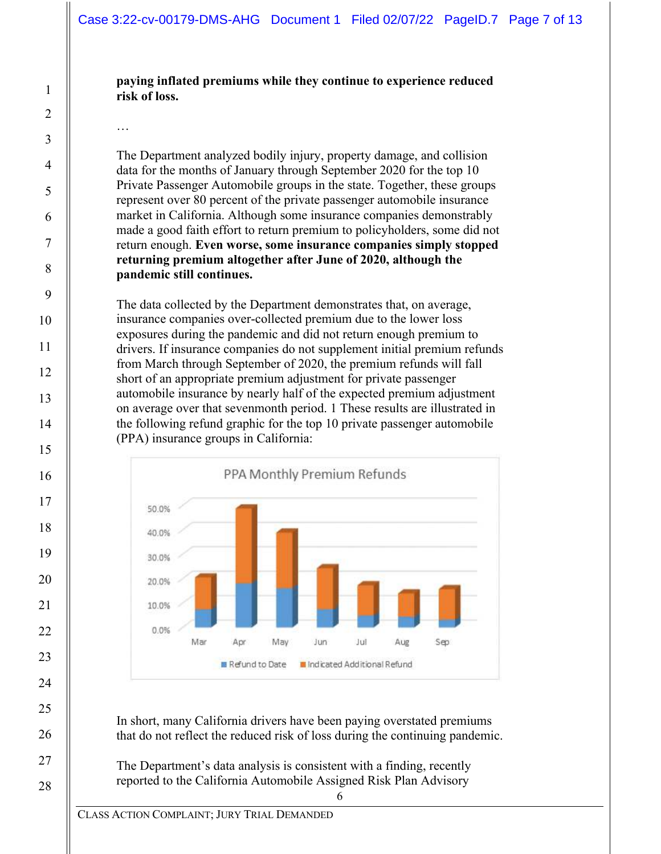#### **paying inflated premiums while they continue to experience reduced risk of loss.**

…

The Department analyzed bodily injury, property damage, and collision data for the months of January through September 2020 for the top 10 Private Passenger Automobile groups in the state. Together, these groups represent over 80 percent of the private passenger automobile insurance market in California. Although some insurance companies demonstrably made a good faith effort to return premium to policyholders, some did not return enough. **Even worse, some insurance companies simply stopped returning premium altogether after June of 2020, although the pandemic still continues.**

The data collected by the Department demonstrates that, on average, insurance companies over-collected premium due to the lower loss exposures during the pandemic and did not return enough premium to drivers. If insurance companies do not supplement initial premium refunds from March through September of 2020, the premium refunds will fall short of an appropriate premium adjustment for private passenger automobile insurance by nearly half of the expected premium adjustment on average over that sevenmonth period. 1 These results are illustrated in the following refund graphic for the top 10 private passenger automobile (PPA) insurance groups in California:



In short, many California drivers have been paying overstated premiums that do not reflect the reduced risk of loss during the continuing pandemic.

6

The Department's data analysis is consistent with a finding, recently reported to the California Automobile Assigned Risk Plan Advisory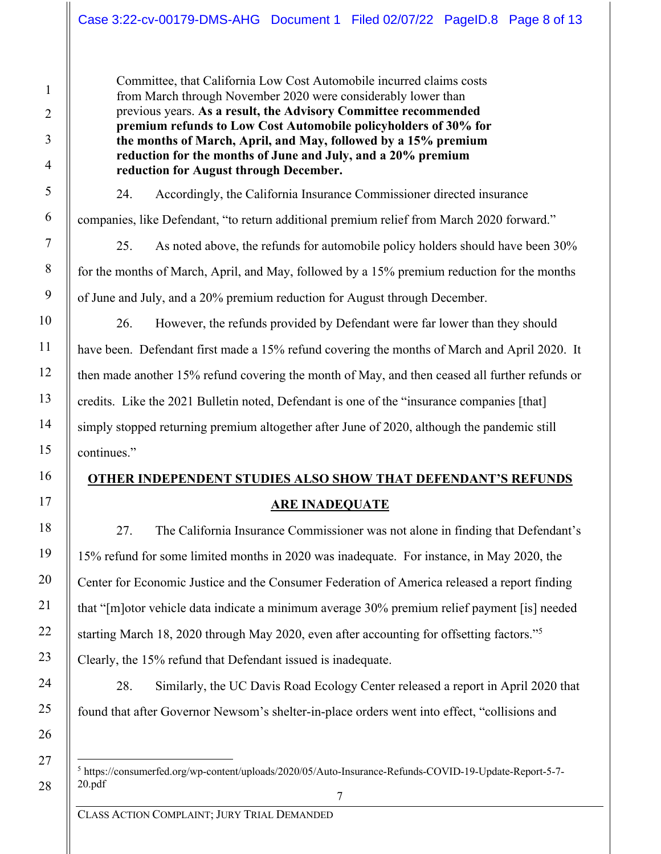Committee, that California Low Cost Automobile incurred claims costs from March through November 2020 were considerably lower than previous years. **As a result, the Advisory Committee recommended premium refunds to Low Cost Automobile policyholders of 30% for the months of March, April, and May, followed by a 15% premium reduction for the months of June and July, and a 20% premium reduction for August through December.**

24. Accordingly, the California Insurance Commissioner directed insurance companies, like Defendant, "to return additional premium relief from March 2020 forward."

25. As noted above, the refunds for automobile policy holders should have been 30% for the months of March, April, and May, followed by a 15% premium reduction for the months of June and July, and a 20% premium reduction for August through December.

26. However, the refunds provided by Defendant were far lower than they should have been. Defendant first made a 15% refund covering the months of March and April 2020. It then made another 15% refund covering the month of May, and then ceased all further refunds or credits. Like the 2021 Bulletin noted, Defendant is one of the "insurance companies [that] simply stopped returning premium altogether after June of 2020, although the pandemic still continues."

# **OTHER INDEPENDENT STUDIES ALSO SHOW THAT DEFENDANT'S REFUNDS ARE INADEQUATE**

27. The California Insurance Commissioner was not alone in finding that Defendant's 15% refund for some limited months in 2020 was inadequate. For instance, in May 2020, the Center for Economic Justice and the Consumer Federation of America released a report finding that "[m]otor vehicle data indicate a minimum average 30% premium relief payment [is] needed starting March 18, 2020 through May 2020, even after accounting for offsetting factors."<sup>5</sup> Clearly, the 15% refund that Defendant issued is inadequate.

28. Similarly, the UC Davis Road Ecology Center released a report in April 2020 that found that after Governor Newsom's shelter-in-place orders went into effect, "collisions and

<sup>5</sup> https://consumerfed.org/wp-content/uploads/2020/05/Auto-Insurance-Refunds-COVID-19-Update-Report-5-7- 20.pdf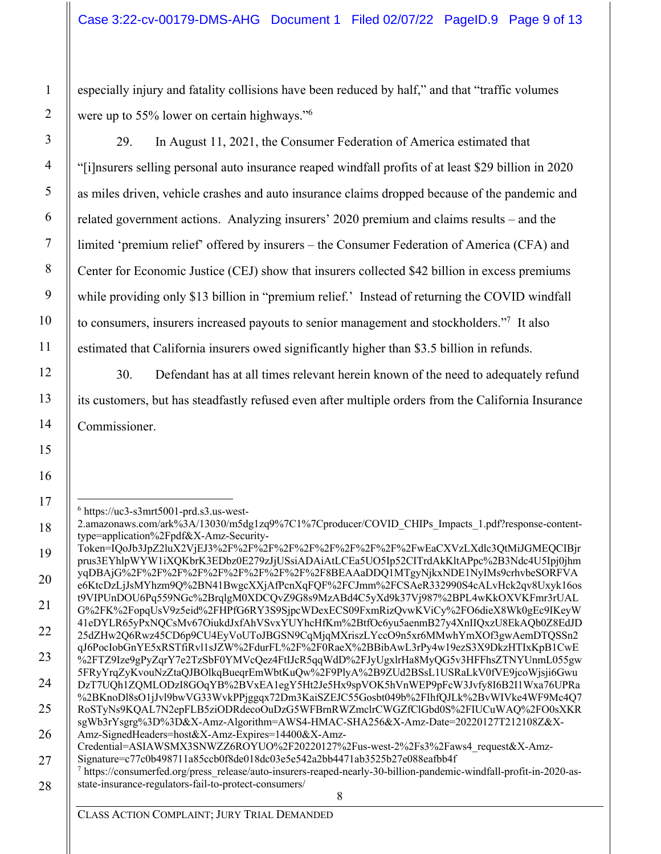especially injury and fatality collisions have been reduced by half," and that "traffic volumes were up to 55% lower on certain highways."<sup>6</sup>

29. In August 11, 2021, the Consumer Federation of America estimated that "[i]nsurers selling personal auto insurance reaped windfall profits of at least \$29 billion in 2020 as miles driven, vehicle crashes and auto insurance claims dropped because of the pandemic and related government actions. Analyzing insurers' 2020 premium and claims results – and the limited 'premium relief' offered by insurers – the Consumer Federation of America (CFA) and Center for Economic Justice (CEJ) show that insurers collected \$42 billion in excess premiums while providing only \$13 billion in "premium relief.' Instead of returning the COVID windfall to consumers, insurers increased payouts to senior management and stockholders."<sup>7</sup> It also estimated that California insurers owed significantly higher than \$3.5 billion in refunds.

30. Defendant has at all times relevant herein known of the need to adequately refund its customers, but has steadfastly refused even after multiple orders from the California Insurance Commissioner.

 $6$  https://uc3-s3mrt5001-prd.s3.us-west-2.amazonaws.com/ark%3A/13030/m5dg1zq9%7C1%7Cproducer/COVID\_CHIPs\_Impacts\_1.pdf?response-contenttype=application%2Fpdf&X-Amz-Security-Token=IQoJb3JpZ2luX2VjEJ3%2F%2F%2F%2F%2F%2F%2F%2F%2F%2FwEaCXVzLXdlc3QtMiJGMEQCIBjr prus3EYhlpWYW1iXQKbrK3EDbz0E279zJjUSsiADAiAtLCEa5UO5Ip52CITrdAkKltAPpc%2B3Ndc4U5Ipj0jhm yqDBAjG%2F%2F%2F%2F%2F%2F%2F%2F%2F%2F8BEAAaDDQ1MTgyNjkxNDE1NyIMs9crhvbeSORFVA e6KtcDzLjJsMYhzm9Q%2BN41BwgcXXjAfPcnXqFQF%2FCJmm%2FCSAeR332990S4cALvHck2qv8Uxyk16os t9VIPUnDOU6Pq559NGc%2BrqlgM0XDCQvZ9G8s9MzABd4C5yXd9k37Vj987%2BPL4wKkOXVKFmr3rUAL G%2FK%2FopqUsV9z5eid%2FHPfG6RY3S9SjpcWDexECS09FxmRizQvwKViCy%2FO6dieX8Wk0gEc9IKeyW 41eDYLR65yPxNQCsMv67OiukdJxfAhVSvxYUYhcHfKm%2BtfOc6yu5aenmB27y4XnIIQxzU8EkAQb0Z8EdJD 25dZHw2Q6Rwz45CD6p9CU4EyVoUToJBGSN9CqMjqMXriszLYccO9n5xr6MMwhYmXOf3gwAemDTQSSn2 qJ6PocIobGnYE5xRSTfiRvl1sJZW%2FdurFL%2F%2F0RaeX%2BBibAwL3rPy4w19ezS3X9DkzHTIxKpB1CwE %2FTZ9Ize9gPyZqrY7e2TzSbF0YMVcQez4FtIJcR5qqWdD%2FJyUgxlrHa8MyQG5v3HFFhsZTNYUnmL055gw 5FRyYrqZyKvouNzZtaQJBOlkqBueqrEmWbtKuQw%2F9PlyA%2B9ZUd2BSsL1USRaLkV0fVE9jcoWjsji6Gwu DzT7UQh1ZQMLODzI8GOqYB%2BVxEA1egY5Ht2Je5Hx9spVOK5hVnWEP9pFcW3Jvfy8I6B2I1Wxa76UPRa %2BKnoDl8sO1jJvl9bwVG33WvkPPjggqx72Dm3KaiSZEJC55Gosbt049b%2FIhfQJLk%2BvWIVke4WF9Mc4Q7 RoSTyNs9KQAL7N2epFLB5ziODRdecoOuDzG5WFBrnRWZmclrCWGZfClGbd0S%2FIUCuWAQ%2FO0sXKR sgWb3rYsgrg%3D%3D&X-Amz-Algorithm=AWS4-HMAC-SHA256&X-Amz-Date=20220127T212108Z&X-Amz-SignedHeaders=host&X-Amz-Expires=14400&X-Amz-Credential=ASIAWSMX3SNWZZ6ROYUO%2F20220127%2Fus-west-2%2Fs3%2Faws4\_request&X-Amz-Signature=c77c0b498711a85ccb0f8de018dc03e5e542a2bb4471ab3525b27e088eafbb4f  $^7$  https://consumerfed.org/press\_release/auto-insurers-reaped-nearly-30-billion-pandemic-windfall-profit-in-2020-asstate-insurance-regulators-fail-to-protect-consumers/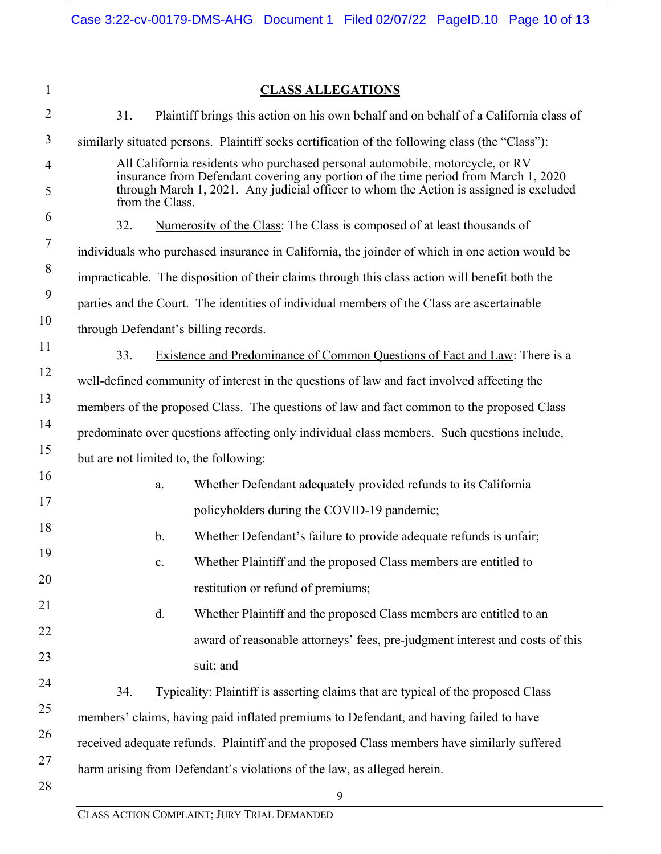|                                                                                                                                                                                                                                                                                   |     |                |                                      |                                    | Case 3:22-cv-00179-DMS-AHG Document 1 Filed 02/07/22 PageID.10 Page 10 of 13                   |  |  |
|-----------------------------------------------------------------------------------------------------------------------------------------------------------------------------------------------------------------------------------------------------------------------------------|-----|----------------|--------------------------------------|------------------------------------|------------------------------------------------------------------------------------------------|--|--|
|                                                                                                                                                                                                                                                                                   |     |                |                                      |                                    |                                                                                                |  |  |
| <b>CLASS ALLEGATIONS</b>                                                                                                                                                                                                                                                          |     |                |                                      |                                    |                                                                                                |  |  |
|                                                                                                                                                                                                                                                                                   | 31. |                |                                      |                                    | Plaintiff brings this action on his own behalf and on behalf of a California class of          |  |  |
| similarly situated persons. Plaintiff seeks certification of the following class (the "Class"):                                                                                                                                                                                   |     |                |                                      |                                    |                                                                                                |  |  |
| All California residents who purchased personal automobile, motorcycle, or RV<br>insurance from Defendant covering any portion of the time period from March 1, 2020<br>through March 1, 2021. Any judicial officer to whom the Action is assigned is excluded<br>from the Class. |     |                |                                      |                                    |                                                                                                |  |  |
|                                                                                                                                                                                                                                                                                   | 32. |                |                                      |                                    | Numerosity of the Class: The Class is composed of at least thousands of                        |  |  |
|                                                                                                                                                                                                                                                                                   |     |                |                                      |                                    | individuals who purchased insurance in California, the joinder of which in one action would be |  |  |
|                                                                                                                                                                                                                                                                                   |     |                |                                      |                                    | impracticable. The disposition of their claims through this class action will benefit both the |  |  |
|                                                                                                                                                                                                                                                                                   |     |                |                                      |                                    | parties and the Court. The identities of individual members of the Class are ascertainable     |  |  |
|                                                                                                                                                                                                                                                                                   |     |                | through Defendant's billing records. |                                    |                                                                                                |  |  |
|                                                                                                                                                                                                                                                                                   | 33. |                |                                      |                                    | Existence and Predominance of Common Questions of Fact and Law: There is a                     |  |  |
| well-defined community of interest in the questions of law and fact involved affecting the                                                                                                                                                                                        |     |                |                                      |                                    |                                                                                                |  |  |
| members of the proposed Class. The questions of law and fact common to the proposed Class                                                                                                                                                                                         |     |                |                                      |                                    |                                                                                                |  |  |
|                                                                                                                                                                                                                                                                                   |     |                |                                      |                                    | predominate over questions affecting only individual class members. Such questions include,    |  |  |
| but are not limited to, the following:                                                                                                                                                                                                                                            |     |                |                                      |                                    |                                                                                                |  |  |
|                                                                                                                                                                                                                                                                                   |     |                |                                      |                                    | Whether Defendant adequately provided refunds to its California                                |  |  |
|                                                                                                                                                                                                                                                                                   |     |                |                                      |                                    | policyholders during the COVID-19 pandemic;                                                    |  |  |
|                                                                                                                                                                                                                                                                                   |     | b.             |                                      |                                    | Whether Defendant's failure to provide adequate refunds is unfair;                             |  |  |
|                                                                                                                                                                                                                                                                                   |     | $\mathbf{c}$ . |                                      |                                    | Whether Plaintiff and the proposed Class members are entitled to                               |  |  |
|                                                                                                                                                                                                                                                                                   |     |                |                                      | restitution or refund of premiums; |                                                                                                |  |  |
|                                                                                                                                                                                                                                                                                   |     | d.             |                                      |                                    | Whether Plaintiff and the proposed Class members are entitled to an                            |  |  |
|                                                                                                                                                                                                                                                                                   |     |                |                                      |                                    | award of reasonable attorneys' fees, pre-judgment interest and costs of this                   |  |  |
|                                                                                                                                                                                                                                                                                   |     |                | suit; and                            |                                    |                                                                                                |  |  |
|                                                                                                                                                                                                                                                                                   | 34. |                |                                      |                                    | Typicality: Plaintiff is asserting claims that are typical of the proposed Class               |  |  |
|                                                                                                                                                                                                                                                                                   |     |                |                                      |                                    | members' claims, having paid inflated premiums to Defendant, and having failed to have         |  |  |
| received adequate refunds. Plaintiff and the proposed Class members have similarly suffered                                                                                                                                                                                       |     |                |                                      |                                    |                                                                                                |  |  |
| harm arising from Defendant's violations of the law, as alleged herein.                                                                                                                                                                                                           |     |                |                                      |                                    |                                                                                                |  |  |
| $\mathbf Q$                                                                                                                                                                                                                                                                       |     |                |                                      |                                    |                                                                                                |  |  |

CLASS ACTION COMPLAINT; JURY TRIAL DEMANDED 25 26 27 28

1

2

3

4

5

6

7

8

9

10

11

12

13

14

15

16

17

18

19

20

21

22

23

24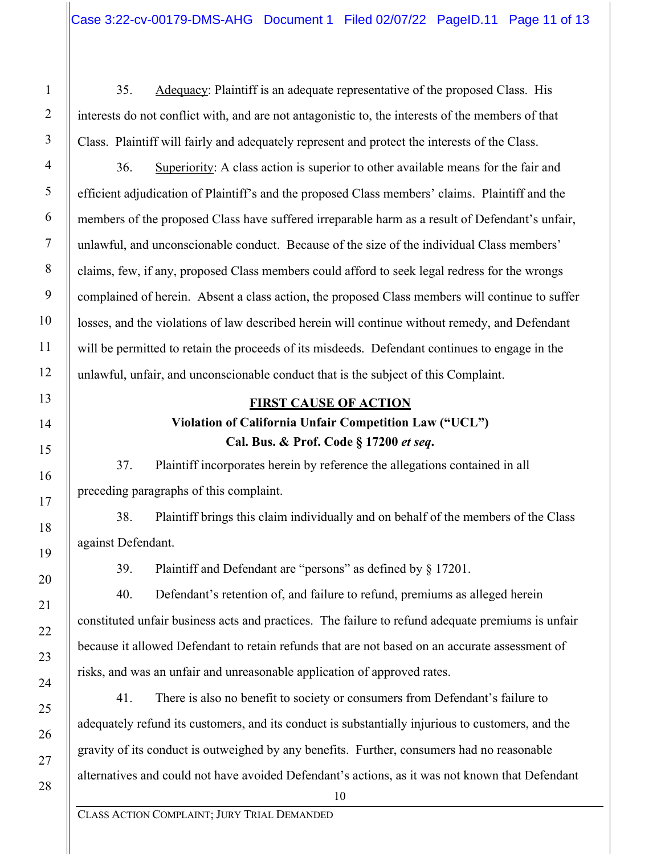35. Adequacy: Plaintiff is an adequate representative of the proposed Class. His interests do not conflict with, and are not antagonistic to, the interests of the members of that Class. Plaintiff will fairly and adequately represent and protect the interests of the Class.

36. Superiority: A class action is superior to other available means for the fair and efficient adjudication of Plaintiff's and the proposed Class members' claims. Plaintiff and the members of the proposed Class have suffered irreparable harm as a result of Defendant's unfair, unlawful, and unconscionable conduct. Because of the size of the individual Class members' claims, few, if any, proposed Class members could afford to seek legal redress for the wrongs complained of herein. Absent a class action, the proposed Class members will continue to suffer losses, and the violations of law described herein will continue without remedy, and Defendant will be permitted to retain the proceeds of its misdeeds. Defendant continues to engage in the unlawful, unfair, and unconscionable conduct that is the subject of this Complaint.

#### **FIRST CAUSE OF ACTION**

## **Violation of California Unfair Competition Law ("UCL") Cal. Bus. & Prof. Code § 17200** *et seq***.**

37. Plaintiff incorporates herein by reference the allegations contained in all preceding paragraphs of this complaint.

38. Plaintiff brings this claim individually and on behalf of the members of the Class against Defendant.

39. Plaintiff and Defendant are "persons" as defined by § 17201.

40. Defendant's retention of, and failure to refund, premiums as alleged herein constituted unfair business acts and practices. The failure to refund adequate premiums is unfair because it allowed Defendant to retain refunds that are not based on an accurate assessment of risks, and was an unfair and unreasonable application of approved rates.

41. There is also no benefit to society or consumers from Defendant's failure to adequately refund its customers, and its conduct is substantially injurious to customers, and the gravity of its conduct is outweighed by any benefits. Further, consumers had no reasonable alternatives and could not have avoided Defendant's actions, as it was not known that Defendant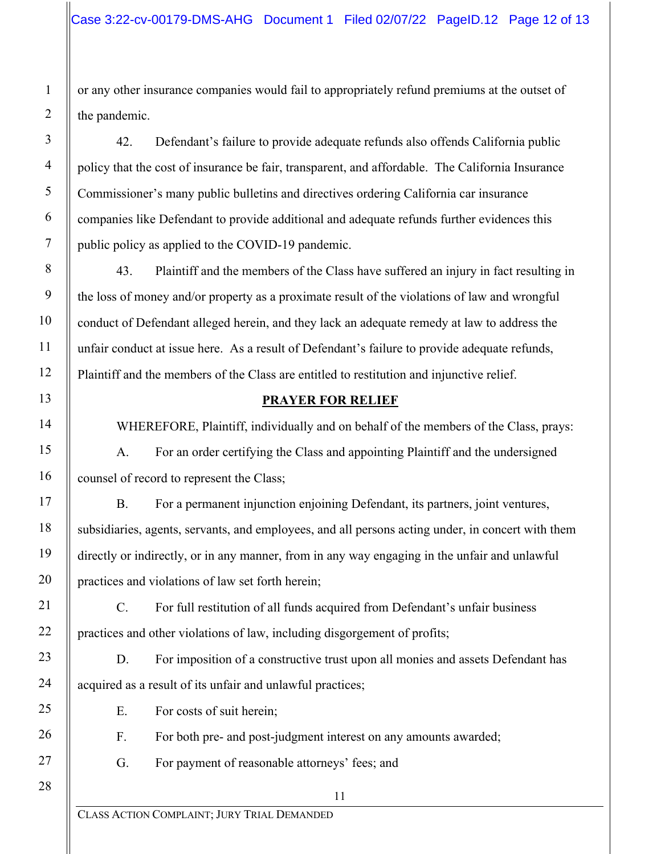or any other insurance companies would fail to appropriately refund premiums at the outset of the pandemic.

42. Defendant's failure to provide adequate refunds also offends California public policy that the cost of insurance be fair, transparent, and affordable. The California Insurance Commissioner's many public bulletins and directives ordering California car insurance companies like Defendant to provide additional and adequate refunds further evidences this public policy as applied to the COVID-19 pandemic.

43. Plaintiff and the members of the Class have suffered an injury in fact resulting in the loss of money and/or property as a proximate result of the violations of law and wrongful conduct of Defendant alleged herein, and they lack an adequate remedy at law to address the unfair conduct at issue here. As a result of Defendant's failure to provide adequate refunds, Plaintiff and the members of the Class are entitled to restitution and injunctive relief.

#### **PRAYER FOR RELIEF**

WHEREFORE, Plaintiff, individually and on behalf of the members of the Class, prays:

A. For an order certifying the Class and appointing Plaintiff and the undersigned counsel of record to represent the Class;

B. For a permanent injunction enjoining Defendant, its partners, joint ventures, subsidiaries, agents, servants, and employees, and all persons acting under, in concert with them directly or indirectly, or in any manner, from in any way engaging in the unfair and unlawful practices and violations of law set forth herein;

C. For full restitution of all funds acquired from Defendant's unfair business practices and other violations of law, including disgorgement of profits;

D. For imposition of a constructive trust upon all monies and assets Defendant has acquired as a result of its unfair and unlawful practices;

E. For costs of suit herein;

F. For both pre- and post-judgment interest on any amounts awarded;

G. For payment of reasonable attorneys' fees; and